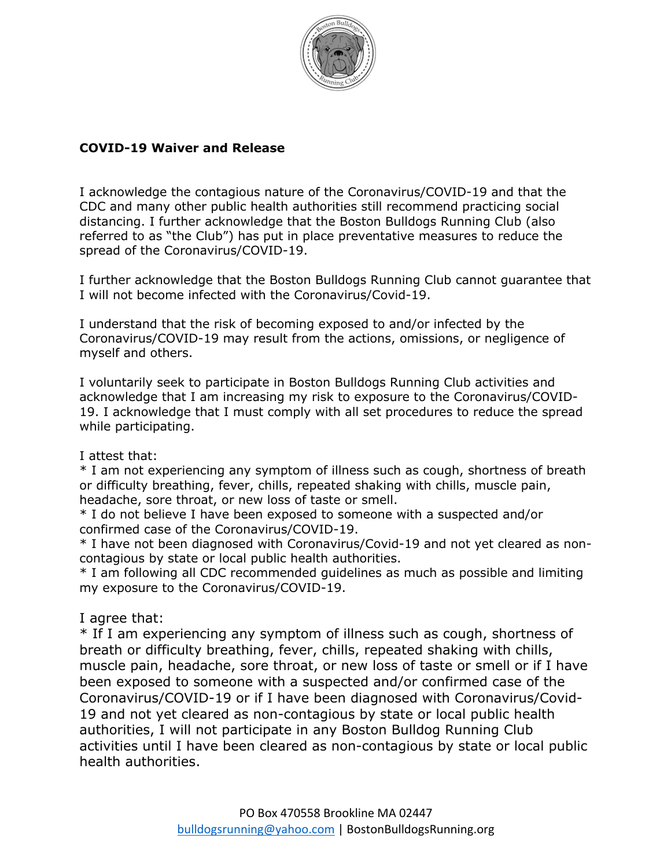

## **COVID-19 Waiver and Release**

I acknowledge the contagious nature of the Coronavirus/COVID-19 and that the CDC and many other public health authorities still recommend practicing social distancing. I further acknowledge that the Boston Bulldogs Running Club (also referred to as "the Club") has put in place preventative measures to reduce the spread of the Coronavirus/COVID-19.

I further acknowledge that the Boston Bulldogs Running Club cannot guarantee that I will not become infected with the Coronavirus/Covid-19.

I understand that the risk of becoming exposed to and/or infected by the Coronavirus/COVID-19 may result from the actions, omissions, or negligence of myself and others.

I voluntarily seek to participate in Boston Bulldogs Running Club activities and acknowledge that I am increasing my risk to exposure to the Coronavirus/COVID-19. I acknowledge that I must comply with all set procedures to reduce the spread while participating.

## I attest that:

\* I am not experiencing any symptom of illness such as cough, shortness of breath or difficulty breathing, fever, chills, repeated shaking with chills, muscle pain, headache, sore throat, or new loss of taste or smell.

\* I do not believe I have been exposed to someone with a suspected and/or confirmed case of the Coronavirus/COVID-19.

\* I have not been diagnosed with Coronavirus/Covid-19 and not yet cleared as noncontagious by state or local public health authorities.

\* I am following all CDC recommended guidelines as much as possible and limiting my exposure to the Coronavirus/COVID-19.

I agree that:

\* If I am experiencing any symptom of illness such as cough, shortness of breath or difficulty breathing, fever, chills, repeated shaking with chills, muscle pain, headache, sore throat, or new loss of taste or smell or if I have been exposed to someone with a suspected and/or confirmed case of the Coronavirus/COVID-19 or if I have been diagnosed with Coronavirus/Covid-19 and not yet cleared as non-contagious by state or local public health authorities, I will not participate in any Boston Bulldog Running Club activities until I have been cleared as non-contagious by state or local public health authorities.